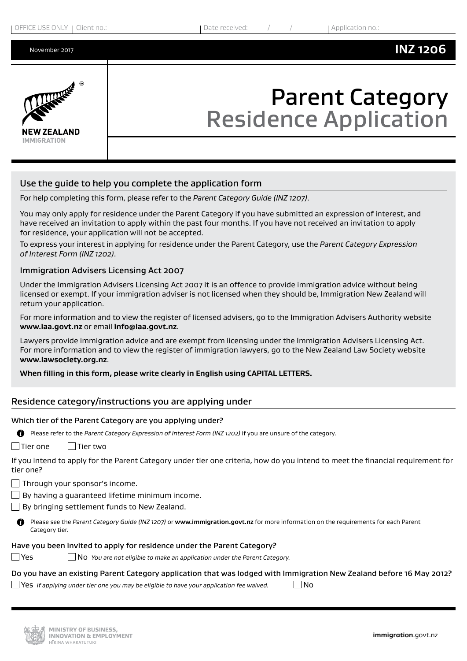

# Parent Category Residence Application

# Use the guide to help you complete the application form

For help completing this form, please refer to the *Parent Category Guide (INZ 1207)*.

You may only apply for residence under the Parent Category if you have submitted an expression of interest, and have received an invitation to apply within the past four months. If you have not received an invitation to apply for residence, your application will not be accepted.

To express your interest in applying for residence under the Parent Category, use the *Parent Category Expression of Interest Form (INZ 1202)*.

#### Immigration Advisers Licensing Act 2007

Under the Immigration Advisers Licensing Act 2007 it is an offence to provide immigration advice without being licensed or exempt. If your immigration adviser is not licensed when they should be, Immigration New Zealand will return your application.

For more information and to view the register of licensed advisers, go to the Immigration Advisers Authority website **[www.iaa.govt.nz](https://www.immigration.govt.nzwww.iaa.govt.nz)** or email **[info@iaa.govt.nz](mailto:info@iaa.govt.nz)**.

Lawyers provide immigration advice and are exempt from licensing under the Immigration Advisers Licensing Act. For more information and to view the register of immigration lawyers, go to the New Zealand Law Society website **[www.lawsociety.org.nz](https://www.immigration.govt.nzwww.lawsociety.org.nz)**.

#### **When filling in this form, please write clearly in English using CAPITAL LETTERS.**

# Residence category/instructions you are applying under

#### Which tier of the Parent Category are you applying under?

| n<br>Please refer to the Parent Category Expression of Interest Form (INZ 1202) if you are unsure of the category.                                         |
|------------------------------------------------------------------------------------------------------------------------------------------------------------|
| l Tier one<br>Tier two                                                                                                                                     |
| If you intend to apply for the Parent Category under tier one criteria, how do you intend to meet the financial requirement for<br>tier one?               |
| $\Box$ Through your sponsor's income.                                                                                                                      |
| $\Box$ By having a quaranteed lifetime minimum income.                                                                                                     |
| $\Box$ By bringing settlement funds to New Zealand.                                                                                                        |
| n<br>Please see the Parent Category Guide (INZ 1207) or www.immigration.govt.nz for more information on the requirements for each Parent<br>Category tier. |

#### Have you been invited to apply for residence under the Parent Category?

Yes No *You are not eligible to make an application under the Parent Category.*

#### Do you have an existing Parent Category application that was lodged with Immigration New Zealand before 16 May 2012?

Yes *If applying under tier one you may be eligible to have your application fee waived.* No

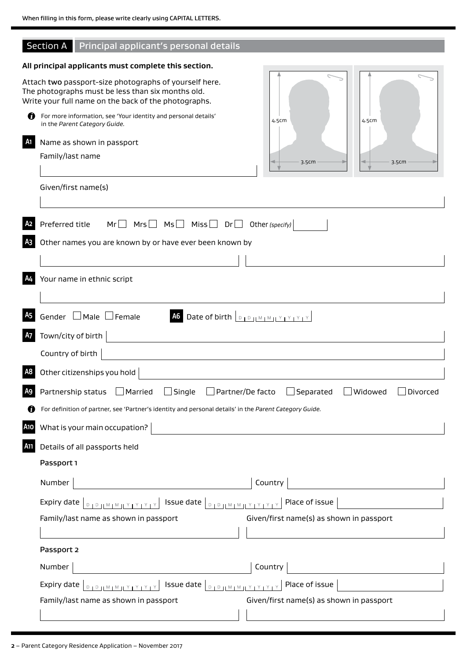# Section A Principal applicant's personal details

# **All principal applicants must complete this section.**

|                             | Attach two passport-size photographs of yourself here.<br>The photographs must be less than six months old.<br>Write your full name on the back of the photographs.                                                                                                  |                                          |
|-----------------------------|----------------------------------------------------------------------------------------------------------------------------------------------------------------------------------------------------------------------------------------------------------------------|------------------------------------------|
| Ø                           | For more information, see 'Your identity and personal details'<br>in the Parent Category Guide.                                                                                                                                                                      | 4.5cm<br>4.5cm                           |
| A1                          | Name as shown in passport                                                                                                                                                                                                                                            |                                          |
|                             | Family/last name                                                                                                                                                                                                                                                     | 3.5cm<br>3.5cm                           |
|                             | Given/first name(s)                                                                                                                                                                                                                                                  |                                          |
| A <sub>2</sub><br><b>A3</b> | Preferred title<br>$Mr \Box$ Mrs $\Box$ Ms $\Box$ Miss $\Box$ Dr $\Box$<br>Other names you are known by or have ever been known by                                                                                                                                   | Other (specify)                          |
| <b>A4</b>                   | Your name in ethnic script                                                                                                                                                                                                                                           |                                          |
| A <sub>5</sub><br>A7        | Gender □ Male □ Female<br>A6 Date of birth <b>DED IMMIT YEY</b><br>Town/city of birth                                                                                                                                                                                |                                          |
|                             |                                                                                                                                                                                                                                                                      |                                          |
|                             | Country of birth                                                                                                                                                                                                                                                     |                                          |
| A <sub>8</sub>              | Other citizenships you hold                                                                                                                                                                                                                                          |                                          |
| A <sub>9</sub>              | Partnership status □ Married<br>$\Box$ Single<br>$\Box$ Partner/De facto                                                                                                                                                                                             | Separated<br>Widowed<br>Divorced         |
| A                           | For definition of partner, see 'Partner's identity and personal details' in the Parent Category Guide.                                                                                                                                                               |                                          |
| <b>A10</b>                  | What is your main occupation? $ $                                                                                                                                                                                                                                    |                                          |
| A <sub>11</sub>             | Details of all passports held                                                                                                                                                                                                                                        |                                          |
|                             | Passport 1                                                                                                                                                                                                                                                           |                                          |
|                             | Number                                                                                                                                                                                                                                                               | Country                                  |
|                             | Issue date   <b>DIDJMIMILY LY LY</b><br>Expiry date<br>$D + D + M + M + Y + Y + Y + Y$                                                                                                                                                                               | Place of issue                           |
|                             | Family/last name as shown in passport                                                                                                                                                                                                                                | Given/first name(s) as shown in passport |
|                             |                                                                                                                                                                                                                                                                      |                                          |
|                             | Passport 2                                                                                                                                                                                                                                                           |                                          |
|                             | Number                                                                                                                                                                                                                                                               | Country                                  |
|                             | <b>Issue date</b><br>Expiry date<br>$D + D + M + M + Y + Y + Y + Y$<br>$\begin{array}{c}\nD_1 D_2 \\ D_3\n\end{array} \begin{array}{c}\nM_1 M_2 \\ M_3\n\end{array} \begin{array}{c}\nM_1 M_2 \\ M_3\n\end{array} \begin{array}{c}\nM_1 M_2 \\ M_1 M_2\n\end{array}$ | Place of issue                           |
|                             | Family/last name as shown in passport                                                                                                                                                                                                                                | Given/first name(s) as shown in passport |
|                             |                                                                                                                                                                                                                                                                      |                                          |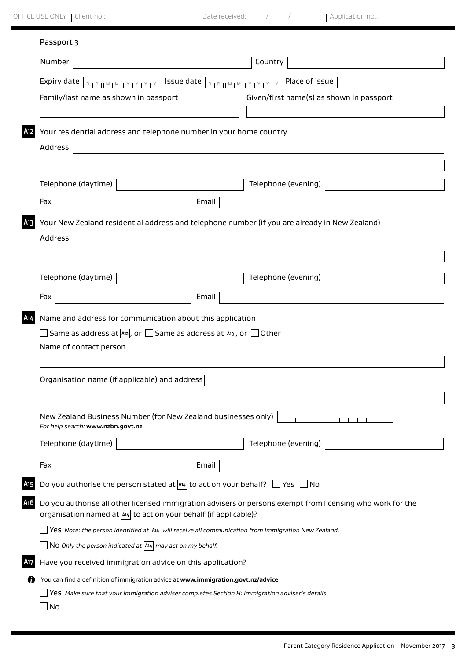|                                                                                                                                                                                                                                                                                                                                                                                                                      | Country                                                                                                                                                                                                                                                 |
|----------------------------------------------------------------------------------------------------------------------------------------------------------------------------------------------------------------------------------------------------------------------------------------------------------------------------------------------------------------------------------------------------------------------|---------------------------------------------------------------------------------------------------------------------------------------------------------------------------------------------------------------------------------------------------------|
| $\overline{S}$ Issue date $ _{\mathbb{D}_{1}\mathbb{D}_{1} \mathbb{M}_{1}\mathbb{M}_{1} \mathbb{Y}_{1}\mathbb{Y}_{1} \mathbb{Y}_{1} \mathbb{Y}_{1} \mathbb{Y}_{1} \mathbb{Y}_{1} \mathbb{Y}_{1} \mathbb{Y}_{1} \mathbb{Y}_{1} \mathbb{Y}_{1} \mathbb{Y}_{1} \mathbb{Y}_{1} \mathbb{Y}_{1} \mathbb{Y}_{1} \mathbb{Y}_{1} \mathbb{Y}_{1} \mathbb{Y}_{1} \mathbb{Y}_{1} \mathbb{Y}_{1} \mathbb{Y}_{1} \mathbb{Y}_{1} \$ | Place of issue                                                                                                                                                                                                                                          |
|                                                                                                                                                                                                                                                                                                                                                                                                                      | Given/first name(s) as shown in passport                                                                                                                                                                                                                |
|                                                                                                                                                                                                                                                                                                                                                                                                                      | Your residential address and telephone number in your home country                                                                                                                                                                                      |
|                                                                                                                                                                                                                                                                                                                                                                                                                      |                                                                                                                                                                                                                                                         |
|                                                                                                                                                                                                                                                                                                                                                                                                                      | Telephone (evening)                                                                                                                                                                                                                                     |
| Email                                                                                                                                                                                                                                                                                                                                                                                                                |                                                                                                                                                                                                                                                         |
|                                                                                                                                                                                                                                                                                                                                                                                                                      |                                                                                                                                                                                                                                                         |
|                                                                                                                                                                                                                                                                                                                                                                                                                      | Telephone (evening)                                                                                                                                                                                                                                     |
| Email                                                                                                                                                                                                                                                                                                                                                                                                                |                                                                                                                                                                                                                                                         |
| Organisation name (if applicable) and address                                                                                                                                                                                                                                                                                                                                                                        |                                                                                                                                                                                                                                                         |
| New Zealand Business Number (for New Zealand businesses only)                                                                                                                                                                                                                                                                                                                                                        |                                                                                                                                                                                                                                                         |
|                                                                                                                                                                                                                                                                                                                                                                                                                      |                                                                                                                                                                                                                                                         |
|                                                                                                                                                                                                                                                                                                                                                                                                                      | Telephone (evening)                                                                                                                                                                                                                                     |
| Email                                                                                                                                                                                                                                                                                                                                                                                                                |                                                                                                                                                                                                                                                         |
|                                                                                                                                                                                                                                                                                                                                                                                                                      | Do you authorise the person stated at $A_4$ to act on your behalf? $\Box$ Yes $\Box$ No                                                                                                                                                                 |
| organisation named at  A14  to act on your behalf (if applicable)?                                                                                                                                                                                                                                                                                                                                                   | Do you authorise all other licensed immigration advisers or persons exempt from licensing who work for the                                                                                                                                              |
|                                                                                                                                                                                                                                                                                                                                                                                                                      | Yes Note: the person identified at $\overline{A_4}$ will receive all communication from Immigration New Zealand.                                                                                                                                        |
| NO Only the person indicated at $A_4$ may act on my behalf.                                                                                                                                                                                                                                                                                                                                                          |                                                                                                                                                                                                                                                         |
| Have you received immigration advice on this application?                                                                                                                                                                                                                                                                                                                                                            |                                                                                                                                                                                                                                                         |
| You can find a definition of immigration advice at www.immigration.govt.nz/advice.                                                                                                                                                                                                                                                                                                                                   | Yes Make sure that your immigration adviser completes Section H: Immigration adviser's details.                                                                                                                                                         |
|                                                                                                                                                                                                                                                                                                                                                                                                                      | Your New Zealand residential address and telephone number (if you are already in New Zealand)<br>Name and address for communication about this application<br>Same as address at $ A_{12} $ , or $\Box$ Same as address at $ A_{13} $ , or $\Box$ Other |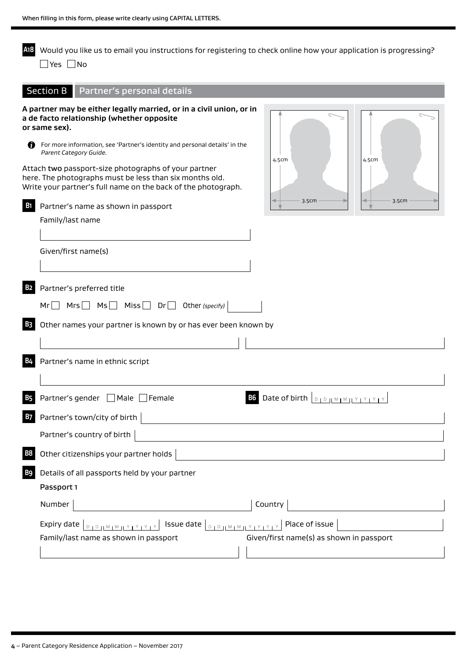**A18** Would you like us to email you instructions for registering to check online how your application is progressing? ■Yes ■No

|                    | Section B   Partner's personal details                                                                                                                                                                                   |
|--------------------|--------------------------------------------------------------------------------------------------------------------------------------------------------------------------------------------------------------------------|
| or same sex).<br>n | A partner may be either legally married, or in a civil union, or in<br>a de facto relationship (whether opposite<br>For more information, see 'Partner's identity and personal details' in the<br>Parent Category Guide. |
|                    | 4.5cm<br>4.5cm<br>Attach two passport-size photographs of your partner<br>here. The photographs must be less than six months old.<br>Write your partner's full name on the back of the photograph.<br>3.5cm<br>3.5cm     |
| <b>B</b> 1         | Partner's name as shown in passport                                                                                                                                                                                      |
|                    | Family/last name                                                                                                                                                                                                         |
|                    |                                                                                                                                                                                                                          |
|                    | Given/first name(s)                                                                                                                                                                                                      |
|                    |                                                                                                                                                                                                                          |
|                    | Partner's preferred title                                                                                                                                                                                                |
|                    | $Mrs$ $Ms$ $Miss$ $Dr$ $Other$ (specify)<br>$Mr $                                                                                                                                                                        |
|                    | Other names your partner is known by or has ever been known by                                                                                                                                                           |
|                    |                                                                                                                                                                                                                          |
|                    | Partner's name in ethnic script                                                                                                                                                                                          |
|                    | Partner's gender □ Male □ Female<br>B6 Date of birth <b>DED IMMITTYYYY</b>                                                                                                                                               |
|                    | Partner's town/city of birth                                                                                                                                                                                             |
|                    | Partner's country of birth                                                                                                                                                                                               |
|                    | Other citizenships your partner holds                                                                                                                                                                                    |
|                    | Details of all passports held by your partner                                                                                                                                                                            |
|                    | Passport 1                                                                                                                                                                                                               |
|                    | Country<br>Number                                                                                                                                                                                                        |
|                    | Place of issue<br>Issue date $ _{\mathbb{D}_1 \mathbb{D}_1   \mathbb{M}_1 \mathbb{M}_2   \mathbb{M}_2 \mathbb{N}_1   \mathbb{M}_1}$<br>Expiry date<br>$D + D + M + M + Y + Y +$                                          |
|                    | Given/first name(s) as shown in passport<br>Family/last name as shown in passport                                                                                                                                        |
|                    |                                                                                                                                                                                                                          |
|                    |                                                                                                                                                                                                                          |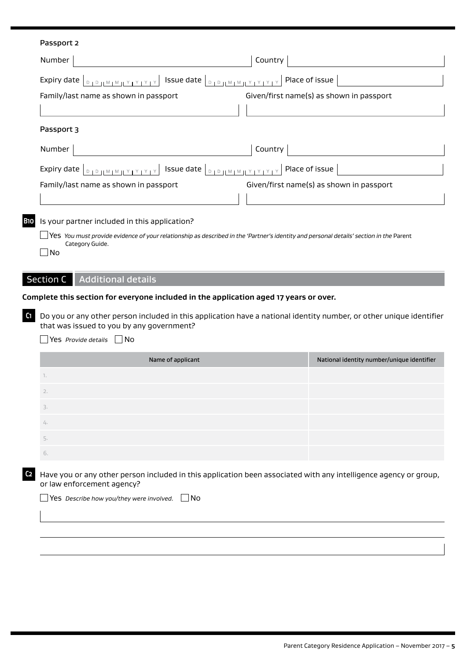| Passport 2                                                                                                              |                                                                                                                                                                                                                                                                                                                           |  |
|-------------------------------------------------------------------------------------------------------------------------|---------------------------------------------------------------------------------------------------------------------------------------------------------------------------------------------------------------------------------------------------------------------------------------------------------------------------|--|
| Number                                                                                                                  | Country                                                                                                                                                                                                                                                                                                                   |  |
| Expiry date<br>$1D 11 11 11 11 11 11$                                                                                   | Issue date   <b>DED   MEMBEX 17 17 17 1</b><br>Place of issue                                                                                                                                                                                                                                                             |  |
| Family/last name as shown in passport                                                                                   | Given/first name(s) as shown in passport                                                                                                                                                                                                                                                                                  |  |
|                                                                                                                         |                                                                                                                                                                                                                                                                                                                           |  |
| Passport 3                                                                                                              |                                                                                                                                                                                                                                                                                                                           |  |
| Number                                                                                                                  | Country                                                                                                                                                                                                                                                                                                                   |  |
| Expiry date $\left[\begin{array}{c} 0 & 1 & 0 \end{array}\right]$ $\left[\begin{array}{c} 0 & 1 & 0 \end{array}\right]$ | $\left\lceil \frac{1}{2} \right\rceil$ Issue date $\left\lfloor \frac{1}{2} \right\rfloor$ $\left\lfloor \frac{1}{2} \right\rfloor$ $\left\lfloor \frac{1}{2} \right\rfloor$ $\left\lfloor \frac{1}{2} \right\rfloor$ $\left\lfloor \frac{1}{2} \right\rfloor$ $\left\lfloor \frac{1}{2} \right\rfloor$<br>Place of issue |  |
| Family/last name as shown in passport                                                                                   | Given/first name(s) as shown in passport                                                                                                                                                                                                                                                                                  |  |
|                                                                                                                         |                                                                                                                                                                                                                                                                                                                           |  |
| Is your partner included in this application?                                                                           |                                                                                                                                                                                                                                                                                                                           |  |
|                                                                                                                         | $\Box$ Yes You must provide evidence of your relationship as described in the 'Partner's identity and personal details' section in the Parent                                                                                                                                                                             |  |
| Category Guide.<br>No                                                                                                   |                                                                                                                                                                                                                                                                                                                           |  |
|                                                                                                                         |                                                                                                                                                                                                                                                                                                                           |  |
|                                                                                                                         |                                                                                                                                                                                                                                                                                                                           |  |
| <b>Additional details</b><br><b>Section C</b>                                                                           |                                                                                                                                                                                                                                                                                                                           |  |
|                                                                                                                         | Complete this section for everyone included in the application aged 17 years or over.                                                                                                                                                                                                                                     |  |
|                                                                                                                         | Do you or any other person included in this application have a national identity number, or other unique identifier                                                                                                                                                                                                       |  |
| that was issued to you by any government?                                                                               |                                                                                                                                                                                                                                                                                                                           |  |
| Yes Provide details $\Box$ No                                                                                           |                                                                                                                                                                                                                                                                                                                           |  |
|                                                                                                                         | Name of applicant<br>National identity number/unique identifier                                                                                                                                                                                                                                                           |  |
| 1.                                                                                                                      |                                                                                                                                                                                                                                                                                                                           |  |
| 2.                                                                                                                      |                                                                                                                                                                                                                                                                                                                           |  |
| 3.                                                                                                                      |                                                                                                                                                                                                                                                                                                                           |  |
| 4.                                                                                                                      |                                                                                                                                                                                                                                                                                                                           |  |
| 5.                                                                                                                      |                                                                                                                                                                                                                                                                                                                           |  |
| 6.                                                                                                                      |                                                                                                                                                                                                                                                                                                                           |  |
| or law enforcement agency?                                                                                              | Have you or any other person included in this application been associated with any intelligence agency or group,                                                                                                                                                                                                          |  |
| Yes Describe how you/they were involved.                                                                                | - I No                                                                                                                                                                                                                                                                                                                    |  |
|                                                                                                                         |                                                                                                                                                                                                                                                                                                                           |  |
|                                                                                                                         |                                                                                                                                                                                                                                                                                                                           |  |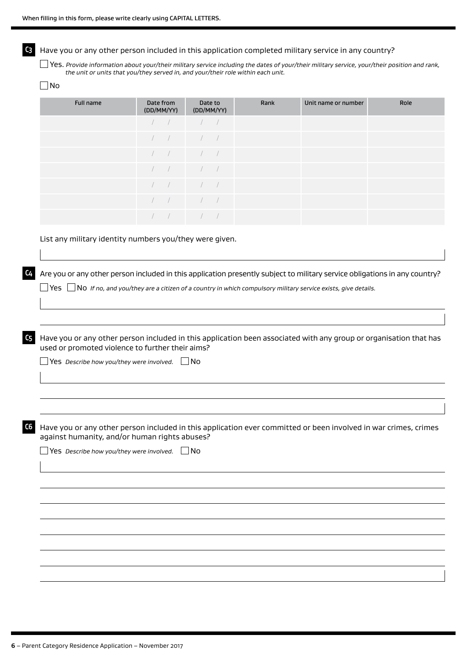**C3** Have you or any other person included in this application completed military service in any country?

Yes. *Provide information about your/their military service including the dates of your/their military service, your/their position and rank, the unit or units that you/they served in, and your/their role within each unit.*

| ۰, |
|----|
|----|

| Full name | Date from<br>(DD/MM/YY)  | Date to<br>(DD/MM/YY)                                                                                                                                                                                                                       | Rank | Unit name or number | Role |
|-----------|--------------------------|---------------------------------------------------------------------------------------------------------------------------------------------------------------------------------------------------------------------------------------------|------|---------------------|------|
|           |                          | $\begin{array}{ccccccc} \end{array}$ / / /                                                                                                                                                                                                  |      |                     |      |
|           |                          | $\begin{array}{ccccccc} \end{array}$ / / /                                                                                                                                                                                                  |      |                     |      |
|           | $\sqrt{2}$               | $\frac{1}{2}$                                                                                                                                                                                                                               |      |                     |      |
|           |                          | $\begin{array}{cccc} \begin{array}{cccc} \end{array} & \begin{array}{cccc} \end{array} & \begin{array}{cccc} \end{array} & \begin{array}{cccc} \end{array} & \begin{array}{cccc} \end{array} & \begin{array}{cccc} \end{array} \end{array}$ |      |                     |      |
|           | $\overline{\phantom{a}}$ | $\frac{1}{2}$                                                                                                                                                                                                                               |      |                     |      |
|           |                          | $\begin{array}{ccccccc} \end{array}$ / / /                                                                                                                                                                                                  |      |                     |      |
|           |                          |                                                                                                                                                                                                                                             |      |                     |      |

List any military identity numbers you/they were given.

**C4** Are you or any other person included in this application presently subject to military service obligations in any country?

Yes No *If no, and you/they are a citizen of a country in which compulsory military service exists, give details.*

**C5** Have you or any other person included in this application been associated with any group or organisation that has used or promoted violence to further their aims?

Yes *Describe how you/they were involved.* No

**C6** Have you or any other person included in this application ever committed or been involved in war crimes, crimes against humanity, and/or human rights abuses?

Yes *Describe how you/they were involved.* No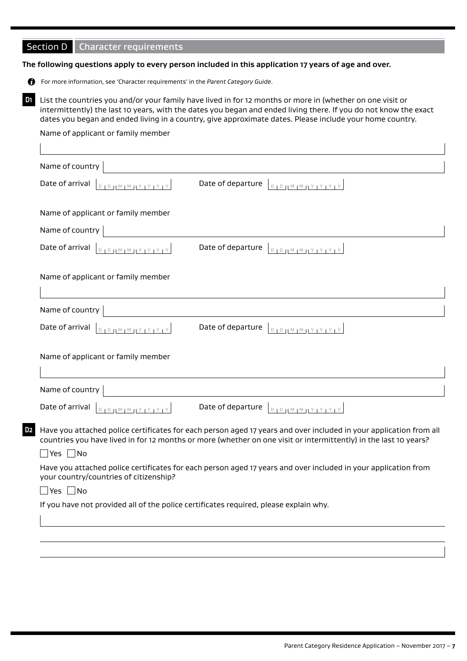# Section D Character requirements

#### **The following questions apply to every person included in this application 17 years of age and over.**

For more information, see 'Character requirements' in the *Parent Category Guide*.

**D1** List the countries you and/or your family have lived in for 12 months or more in (whether on one visit or intermittently) the last 10 years, with the dates you began and ended living there. If you do not know the exact dates you began and ended living in a country, give approximate dates. Please include your home country.

### Name of applicant or family member

| Date of arrival<br>$\begin{array}{c c c c c c} \hline \multicolumn{3}{c }{\textbf{D}} & \multicolumn{3}{c }{\textbf{D}} & \multicolumn{3}{c }{\textbf{M}} & \multicolumn{3}{c }{\textbf{M}} & \multicolumn{3}{c }{\textbf{M}} & \multicolumn{3}{c }{\textbf{M}} & \multicolumn{3}{c }{\textbf{M}} & \multicolumn{3}{c }{\textbf{M}} & \multicolumn{3}{c }{\textbf{M}} & \multicolumn{3}{c }{\textbf{M}} & \multicolumn{3}{c }{\textbf{M}} & \multicolumn{3}{c }{\textbf$ | Date of departure<br>$D D D M M M Y Y Y Y Y$                                                                                                                                                                                            |
|--------------------------------------------------------------------------------------------------------------------------------------------------------------------------------------------------------------------------------------------------------------------------------------------------------------------------------------------------------------------------------------------------------------------------------------------------------------------------|-----------------------------------------------------------------------------------------------------------------------------------------------------------------------------------------------------------------------------------------|
| Name of applicant or family member                                                                                                                                                                                                                                                                                                                                                                                                                                       |                                                                                                                                                                                                                                         |
| Name of country                                                                                                                                                                                                                                                                                                                                                                                                                                                          |                                                                                                                                                                                                                                         |
| Date of arrival $ _{D+D+1}$ M $_{H+1}$ Y $_{H+2}$ Y $_{H+2}$                                                                                                                                                                                                                                                                                                                                                                                                             | Date of departure<br>$D + D + M + M + Y + Y + Y + Y$                                                                                                                                                                                    |
| Name of applicant or family member                                                                                                                                                                                                                                                                                                                                                                                                                                       |                                                                                                                                                                                                                                         |
|                                                                                                                                                                                                                                                                                                                                                                                                                                                                          |                                                                                                                                                                                                                                         |
| Name of country                                                                                                                                                                                                                                                                                                                                                                                                                                                          |                                                                                                                                                                                                                                         |
| Date of arrival $\left[ \begin{array}{c} \mathbb{D} & \mathbb{D} & \mathbb{D} & \mathbb{D} & \mathbb{D} & \mathbb{D} & \mathbb{D} & \mathbb{D} & \mathbb{D} & \mathbb{D} & \mathbb{D} & \mathbb{D} & \mathbb{D} & \mathbb{D} & \mathbb{D} & \mathbb{D} & \mathbb{D} & \mathbb{D} & \mathbb{D} & \mathbb{D} & \mathbb{D} & \mathbb{D} & \mathbb{D} & \mathbb{D} & \mathbb{D} & \mathbb{D} & \mathbb{D} & \mathbb{D$                                                       | Date of departure<br>$\begin{array}{c}\n\mathbf{D} \parallel \mathbf{D} \parallel \mathbf{D} \parallel \mathbf{M} \parallel \mathbf{M} \parallel \mathbf{Y} \parallel \mathbf{Y} \parallel \mathbf{Y} \parallel \mathbf{Y} \end{array}$ |
| Name of applicant or family member                                                                                                                                                                                                                                                                                                                                                                                                                                       |                                                                                                                                                                                                                                         |
|                                                                                                                                                                                                                                                                                                                                                                                                                                                                          |                                                                                                                                                                                                                                         |
| Name of country                                                                                                                                                                                                                                                                                                                                                                                                                                                          |                                                                                                                                                                                                                                         |
| Date of arrival<br>$D + D +  M + M + M + Y + Y + Y $                                                                                                                                                                                                                                                                                                                                                                                                                     | Date of departure<br>$D + D + M + M + Y + Y + Y + Y$                                                                                                                                                                                    |

 $\Box$  Yes  $\Box$  No

Have you attached police certificates for each person aged 17 years and over included in your application from your country/countries of citizenship?

# $\Box$ Yes  $\Box$ No

If you have not provided all of the police certificates required, please explain why.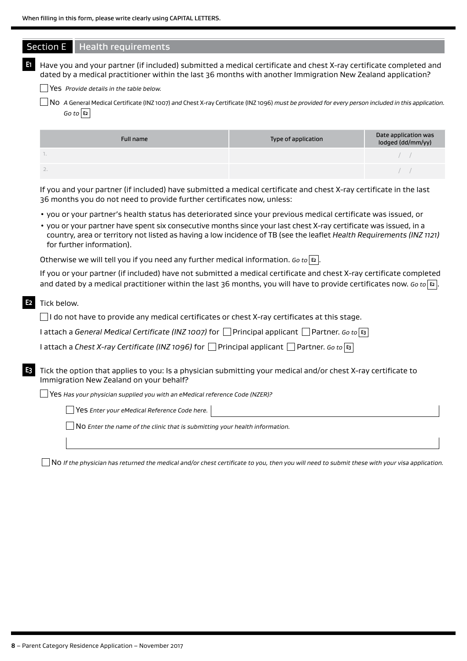|                                         |                                                                                              | Have you and your partner (if included) submitted a medical certificate and chest X-ray certificate completed and<br>dated by a medical practitioner within the last 36 months with another Immigration New Zealand application?                                                                                                                           |                                           |
|-----------------------------------------|----------------------------------------------------------------------------------------------|------------------------------------------------------------------------------------------------------------------------------------------------------------------------------------------------------------------------------------------------------------------------------------------------------------------------------------------------------------|-------------------------------------------|
| Yes Provide details in the table below. |                                                                                              |                                                                                                                                                                                                                                                                                                                                                            |                                           |
| Go to E2                                |                                                                                              | No A General Medical Certificate (INZ 1007) and Chest X-ray Certificate (INZ 1096) must be provided for every person included in this application.                                                                                                                                                                                                         |                                           |
|                                         | <b>Full name</b>                                                                             | Type of application                                                                                                                                                                                                                                                                                                                                        | Date application was<br>lodged (dd/mm/yy) |
| 1.                                      |                                                                                              |                                                                                                                                                                                                                                                                                                                                                            |                                           |
| 2.                                      |                                                                                              |                                                                                                                                                                                                                                                                                                                                                            |                                           |
|                                         | 36 months you do not need to provide further certificates now, unless:                       | If you and your partner (if included) have submitted a medical certificate and chest X-ray certificate in the last                                                                                                                                                                                                                                         |                                           |
| for further information).               |                                                                                              | · you or your partner's health status has deteriorated since your previous medical certificate was issued, or<br>. you or your partner have spent six consecutive months since your last chest X-ray certificate was issued, in a<br>country, area or territory not listed as having a low incidence of TB (see the leaflet Health Requirements (INZ 1121) |                                           |
|                                         | Otherwise we will tell you if you need any further medical information. Go to $ E $ .        |                                                                                                                                                                                                                                                                                                                                                            |                                           |
|                                         |                                                                                              | If you or your partner (if included) have not submitted a medical certificate and chest X-ray certificate completed<br>and dated by a medical practitioner within the last 36 months, you will have to provide certificates now. Go to $ z $ .                                                                                                             |                                           |
| Tick below.                             |                                                                                              |                                                                                                                                                                                                                                                                                                                                                            |                                           |
|                                         |                                                                                              | $\Box$ I do not have to provide any medical certificates or chest X-ray certificates at this stage.                                                                                                                                                                                                                                                        |                                           |
|                                         |                                                                                              | I attach a General Medical Certificate (INZ 1007) for $\Box$ Principal applicant $\Box$ Partner. Go to $\mathfrak{g}_1$                                                                                                                                                                                                                                    |                                           |
|                                         |                                                                                              | I attach a Chest X-ray Certificate (INZ 1096) for $\Box$ Principal applicant $\Box$ Partner. Go to $\overline{\mathfrak{s}}$                                                                                                                                                                                                                               |                                           |
|                                         | Immigration New Zealand on your behalf?                                                      | Tick the option that applies to you: Is a physician submitting your medical and/or chest X-ray certificate to                                                                                                                                                                                                                                              |                                           |
|                                         | Yes Has your physician supplied you with an eMedical reference Code (NZER)?                  |                                                                                                                                                                                                                                                                                                                                                            |                                           |
|                                         | Yes Enter your eMedical Reference Code here.                                                 |                                                                                                                                                                                                                                                                                                                                                            |                                           |
|                                         |                                                                                              |                                                                                                                                                                                                                                                                                                                                                            |                                           |
|                                         | $\rfloor$ $\sf{No}$ Enter the name of the clinic that is submitting your health information. |                                                                                                                                                                                                                                                                                                                                                            |                                           |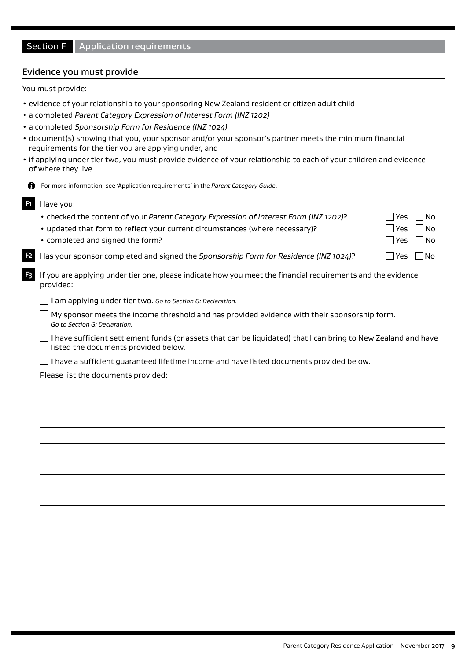# Section F Application requirements

#### Evidence you must provide

You must provide:

- evidence of your relationship to your sponsoring New Zealand resident or citizen adult child
- a completed *Parent Category Expression of Interest Form (INZ 1202)*
- a completed *Sponsorship Form for Residence (INZ 1024)*
- document(s) showing that you, your sponsor and/or your sponsor's partner meets the minimum financial requirements for the tier you are applying under, and
- if applying under tier two, you must provide evidence of your relationship to each of your children and evidence of where they live.
	- For more information, see 'Application requirements' in the *Parent Category Guide*.

#### **F1** Have you:

- checked the content of your *Parent Category Expression of Interest Form (INZ 1202)*?  $\Box$  Yes  $\Box$  No
- updated that form to reflect your current circumstances (where necessary)?  $\Box$  Yes  $\Box$  No
- completed and signed the form?  $\Box$  Yes  $\Box$  No.
- Has your sponsor completed and signed the *Sponsorship Form for Residence (INZ 1024)*? γes No
- **F3** If you are applying under tier one, please indicate how you meet the financial requirements and the evidence provided:

I am applying under tier two. *Go to Section G: Declaration.*

- $\Box$  My sponsor meets the income threshold and has provided evidence with their sponsorship form. *Go to Section G: Declaration.*
- $\Box$  I have sufficient settlement funds (or assets that can be liquidated) that I can bring to New Zealand and have listed the documents provided below.
- $\Box$  I have a sufficient guaranteed lifetime income and have listed documents provided below.

Please list the documents provided: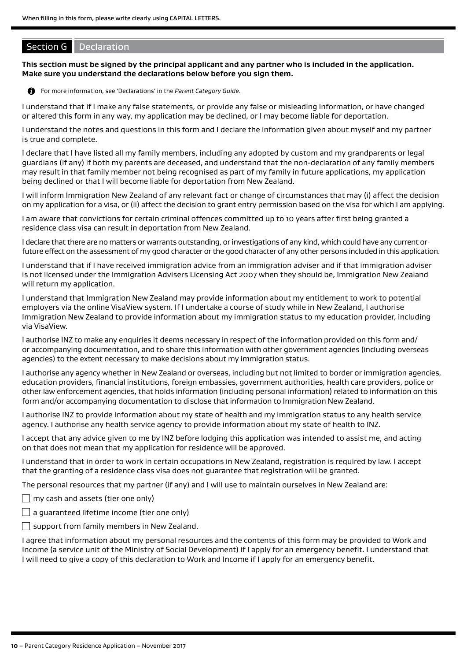# Section G Declaration

**This section must be signed by the principal applicant and any partner who is included in the application. Make sure you understand the declarations below before you sign them.**



For more information, see 'Declarations' in the *Parent Category Guide*.

I understand that if I make any false statements, or provide any false or misleading information, or have changed or altered this form in any way, my application may be declined, or I may become liable for deportation.

I understand the notes and questions in this form and I declare the information given about myself and my partner is true and complete.

I declare that I have listed all my family members, including any adopted by custom and my grandparents or legal guardians (if any) if both my parents are deceased, and understand that the non-declaration of any family members may result in that family member not being recognised as part of my family in future applications, my application being declined or that I will become liable for deportation from New Zealand.

I will inform Immigration New Zealand of any relevant fact or change of circumstances that may (i) affect the decision on my application for a visa, or (ii) affect the decision to grant entry permission based on the visa for which I am applying.

I am aware that convictions for certain criminal offences committed up to 10 years after first being granted a residence class visa can result in deportation from New Zealand.

I declare that there are no matters or warrants outstanding, or investigations of any kind, which could have any current or future effect on the assessment of my good character or the good character of any other persons included in this application.

I understand that if I have received immigration advice from an immigration adviser and if that immigration adviser is not licensed under the Immigration Advisers Licensing Act 2007 when they should be, Immigration New Zealand will return my application.

I understand that Immigration New Zealand may provide information about my entitlement to work to potential employers via the online VisaView system. If I undertake a course of study while in New Zealand, I authorise Immigration New Zealand to provide information about my immigration status to my education provider, including via VisaView.

I authorise INZ to make any enquiries it deems necessary in respect of the information provided on this form and/ or accompanying documentation, and to share this information with other government agencies (including overseas agencies) to the extent necessary to make decisions about my immigration status.

I authorise any agency whether in New Zealand or overseas, including but not limited to border or immigration agencies, education providers, financial institutions, foreign embassies, government authorities, health care providers, police or other law enforcement agencies, that holds information (including personal information) related to information on this form and/or accompanying documentation to disclose that information to Immigration New Zealand.

I authorise INZ to provide information about my state of health and my immigration status to any health service agency. I authorise any health service agency to provide information about my state of health to INZ.

I accept that any advice given to me by INZ before lodging this application was intended to assist me, and acting on that does not mean that my application for residence will be approved.

I understand that in order to work in certain occupations in New Zealand, registration is required by law. I accept that the granting of a residence class visa does not guarantee that registration will be granted.

The personal resources that my partner (if any) and I will use to maintain ourselves in New Zealand are:

 $\Box$  my cash and assets (tier one only)

 $\Box$  a guaranteed lifetime income (tier one only)

 $\Box$  support from family members in New Zealand.

I agree that information about my personal resources and the contents of this form may be provided to Work and Income (a service unit of the Ministry of Social Development) if I apply for an emergency benefit. I understand that I will need to give a copy of this declaration to Work and Income if I apply for an emergency benefit.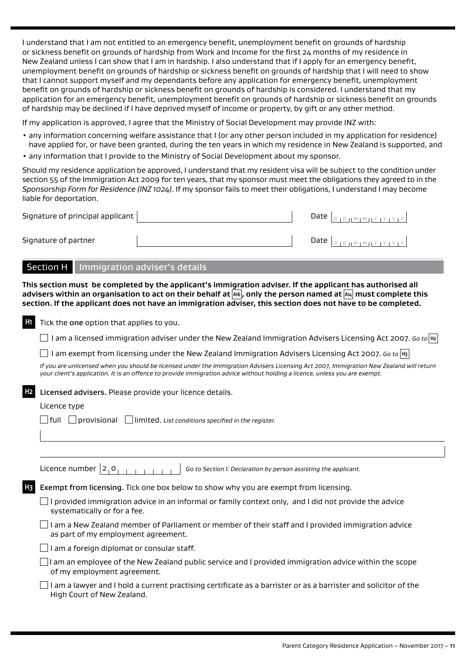I understand that I am not entitled to an emergency benefit, unemployment benefit on grounds of hardship or sickness benefit on grounds of hardship from Work and Income for the first 24 months of my residence in New Zealand unless I can show that I am in hardship. I also understand that if I apply for an emergency benefit, unemployment benefit on grounds of hardship or sickness benefit on grounds of hardship that I will need to show that I cannot support myself and my dependants before any application for emergency benefit, unemployment benefit on grounds of hardship or sickness benefit on grounds of hardship is considered. I understand that my application for an emergency benefit, unemployment benefit on grounds of hardship or sickness benefit on grounds of hardship may be declined if I have deprived myself of income or property, by gift or any other method.

If my application is approved, I agree that the Ministry of Social Development may provide INZ with:

- any information concerning welfare assistance that I (or any other person included in my application for residence) have applied for, or have been granted, during the ten years in which my residence in New Zealand is supported, and
- any information that I provide to the Ministry of Social Development about my sponsor.

Should my residence application be approved, I understand that my resident visa will be subject to the condition under section 55 of the Immigration Act 2009 for ten years, that my sponsor must meet the obligations they agreed to in the *Sponsorship Form for Residence (INZ 1024)*. If my sponsor fails to meet their obligations, I understand I may become liable for deportation.

| Signature of principal applicant $\vert$ |  | Date $ $                                                                     |
|------------------------------------------|--|------------------------------------------------------------------------------|
| Signature of partner                     |  | Date $\vert_{\text{DIPHM} \cup \text{MHY} \cup \text{Y} \cup \text{Y}}\vert$ |

#### Section H | Immigration adviser's details

**This section must be completed by the applicant's immigration adviser. If the applicant has authorised all advisers within an organisation to act on their behalf at A16 , only the person named at A14 must complete this section. If the applicant does not have an immigration adviser, this section does not have to be completed.**

| H1 | Tick the one option that applies to you.                                                                                                                                                                                                                                |
|----|-------------------------------------------------------------------------------------------------------------------------------------------------------------------------------------------------------------------------------------------------------------------------|
|    | I am a licensed immigration adviser under the New Zealand Immigration Advisers Licensing Act 2007. Go to $ n $                                                                                                                                                          |
|    | I am exempt from licensing under the New Zealand Immigration Advisers Licensing Act 2007. Go to $ $ H3                                                                                                                                                                  |
|    | If you are unlicensed when you should be licensed under the Immigration Advisers Licensing Act 2007, Immigration New Zealand will return<br>your client's application. It is an offence to provide immigration advice without holding a licence, unless you are exempt. |
| H2 | Licensed advisers. Please provide your licence details.                                                                                                                                                                                                                 |
|    | Licence type                                                                                                                                                                                                                                                            |
|    | l full<br>$\Box$ provisional $\Box$ limited. List conditions specified in the register.                                                                                                                                                                                 |
|    |                                                                                                                                                                                                                                                                         |
|    |                                                                                                                                                                                                                                                                         |
|    | Licence number $ 2,0 $<br>Go to Section I: Declaration by person assisting the applicant.                                                                                                                                                                               |
|    | Exempt from licensing. Tick one box below to show why you are exempt from licensing.                                                                                                                                                                                    |
|    | I provided immigration advice in an informal or family context only, and I did not provide the advice<br>systematically or for a fee.                                                                                                                                   |
|    | I am a New Zealand member of Parliament or member of their staff and I provided immigration advice<br>as part of my employment agreement.                                                                                                                               |
|    | am a foreign diplomat or consular staff.                                                                                                                                                                                                                                |
|    | am an employee of the New Zealand public service and I provided immigration advice within the scope<br>of my employment agreement.                                                                                                                                      |
|    | I am a lawyer and I hold a current practising certificate as a barrister or as a barrister and solicitor of the<br>High Court of New Zealand.                                                                                                                           |
|    |                                                                                                                                                                                                                                                                         |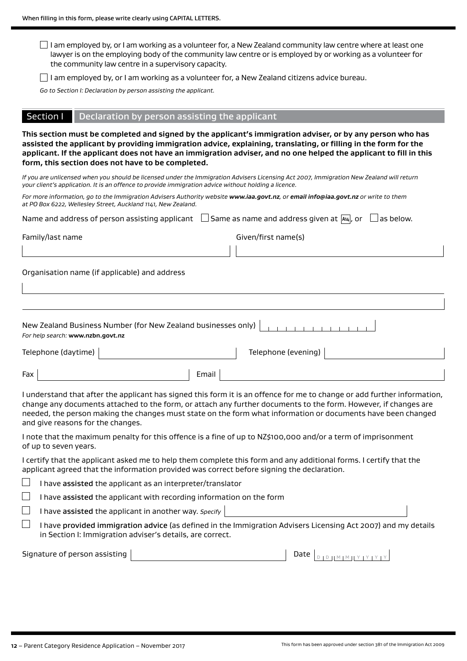$\Box$  I am employed by, or I am working as a volunteer for, a New Zealand community law centre where at least one lawyer is on the employing body of the community law centre or is employed by or working as a volunteer for the community law centre in a supervisory capacity.

I am employed by, or I am working as a volunteer for, a New Zealand citizens advice bureau.

*Go to Section I: Declaration by person assisting the applicant.*

#### Section I Declaration by person assisting the applicant

**This section must be completed and signed by the applicant's immigration adviser, or by any person who has assisted the applicant by providing immigration advice, explaining, translating, or filling in the form for the applicant. If the applicant does not have an immigration adviser, and no one helped the applicant to fill in this form, this section does not have to be completed.**

*If you are unlicensed when you should be licensed under the Immigration Advisers Licensing Act 2007, Immigration New Zealand will return your client's application. It is an offence to provide immigration advice without holding a licence.*

| For more information, go to the Immigration Advisers Authority website www.iaa.govt.nz, or email info@iaa.govt.nz or write to them |  |
|------------------------------------------------------------------------------------------------------------------------------------|--|
| at PO Box 6222, Wellesley Street, Auckland 1141, New Zealand.                                                                      |  |

| Name and address of person assisting applicant | $\Box$ Same as name and address given at $\Box$ or $\Box$ as below. |  |
|------------------------------------------------|---------------------------------------------------------------------|--|
|------------------------------------------------|---------------------------------------------------------------------|--|

Family/last name Given/first name(s)

Organisation name (if applicable) and address

| For help search: www.nzbn.govt.nz | New Zealand Business Number (for New Zealand businesses only) $\vert$ |                     |  |
|-----------------------------------|-----------------------------------------------------------------------|---------------------|--|
| Telephone (daytime)               |                                                                       | Telephone (evening) |  |

| u^ |  |
|----|--|

I understand that after the applicant has signed this form it is an offence for me to change or add further information, change any documents attached to the form, or attach any further documents to the form. However, if changes are needed, the person making the changes must state on the form what information or documents have been changed and give reasons for the changes.

I note that the maximum penalty for this offence is a fine of up to NZ\$100,000 and/or a term of imprisonment of up to seven years.

I certify that the applicant asked me to help them complete this form and any additional forms. I certify that the applicant agreed that the information provided was correct before signing the declaration.

 $\mathbf{I}$ I have assisted the applicant as an interpreter/translator

I have assisted the applicant with recording information on the form

I have assisted the applicant in another way. *Specify*

 $\Box$  I have provided immigration advice (as defined in the Immigration Advisers Licensing Act 2007) and my details in Section I: Immigration adviser's details, are correct.

| Signature of person assisting |  |  |  | T D TEM EM TEY EY EY EY |  |  |  |
|-------------------------------|--|--|--|-------------------------|--|--|--|
|-------------------------------|--|--|--|-------------------------|--|--|--|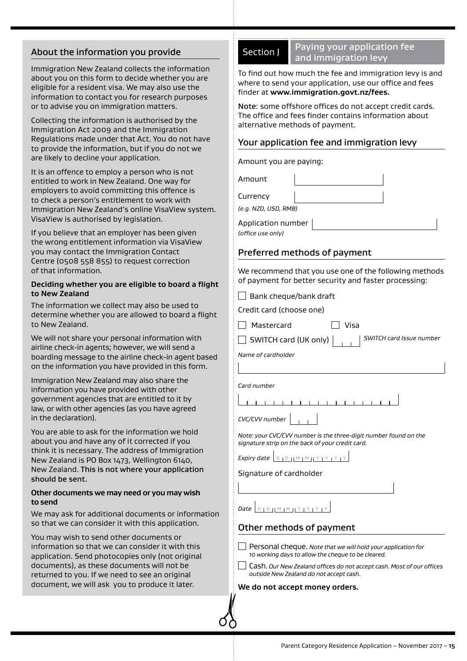# About the information you provide

Immigration New Zealand collects the information about you on this form to decide whether you are eligible for a resident visa. We may also use the information to contact you for research purposes or to advise you on immigration matters.

Collecting the information is authorised by the Immigration Act 2009 and the Immigration Regulations made under that Act. You do not have to provide the information, but if you do not we are likely to decline your application.

It is an offence to employ a person who is not entitled to work in New Zealand. One way for employers to avoid committing this offence is to check a person's entitlement to work with Immigration New Zealand's online VisaView system. VisaView is authorised by legislation.

If you believe that an employer has been given the wrong entitlement information via VisaView you may contact the Immigration Contact Centre (0508 558 855) to request correction of that information.

#### **Deciding whether you are eligible to board a flight to New Zealand**

The information we collect may also be used to determine whether you are allowed to board a flight to New Zealand.

We will not share your personal information with airline check-in agents; however, we will send a boarding message to the airline check-in agent based on the information you have provided in this form.

Immigration New Zealand may also share the information you have provided with other government agencies that are entitled to it by law, or with other agencies (as you have agreed in the declaration).

You are able to ask for the information we hold about you and have any of it corrected if you think it is necessary. The address of Immigration New Zealand is PO Box 1473, Wellington 6140, New Zealand. This is not where your application should be sent.

#### **Other documents we may need or you may wish to send**

We may ask for additional documents or information so that we can consider it with this application.

You may wish to send other documents or information so that we can consider it with this application. Send photocopies only (not original documents), as these documents will not be returned to you. If we need to see an original document, we will ask you to produce it later.

Section J Paying your application fee and immigration levy

To find out how much the fee and immigration levy is and where to send your application, use our office and fees finder at **[www.immigration.govt.nz/fees](https://www.immigration.govt.nzwww.immigration.govt.nz/fees).**

Note: some offshore offices do not accept credit cards. The office and fees finder contains information about alternative methods of payment.

# Your application fee and immigration levy

Amount you are paying:

Amount Currency *(e.g. NZD, USD, RMB)*

Application number

*(office use only)*

# Preferred methods of payment

We recommend that you use one of the following methods of payment for better security and faster processing:

 $\Box$  Visa

 $\Box$  Bank cheque/bank draft

Credit card (choose one)

| Mastercard |  |
|------------|--|
|            |  |

SWITCH card (UK only) *SWITCH card Issue number*

*Name of cardholder*

*Card number*

\_\_\_\_\_\_\_\_\_\_\_\_\_\_\_\_\_\_\_\_\_\_\_\_\_\_\_\_\_\_\_

| CVC/CVV number |  |  |  |
|----------------|--|--|--|
|----------------|--|--|--|

*Note: your CVC/CVV number is the three-digit number found on the signature strip on the back of your credit card.*

*Expiry date*  $\boxed{D \quad D \mid M \mid M \mid Y \mid Y \mid Y \mid Y}$ 

Signature of cardholder

 $Date$   $D D U M M M H Y Y Y Y$ 

# Other methods of payment

Personal cheque. *Note that we will hold your application for 10 working days to allow the cheque to be cleared.*

Cash. *Our New Zealand offices do not accept cash. Most of our offices outside New Zealand do not accept cash.*

**We do not accept money orders.**